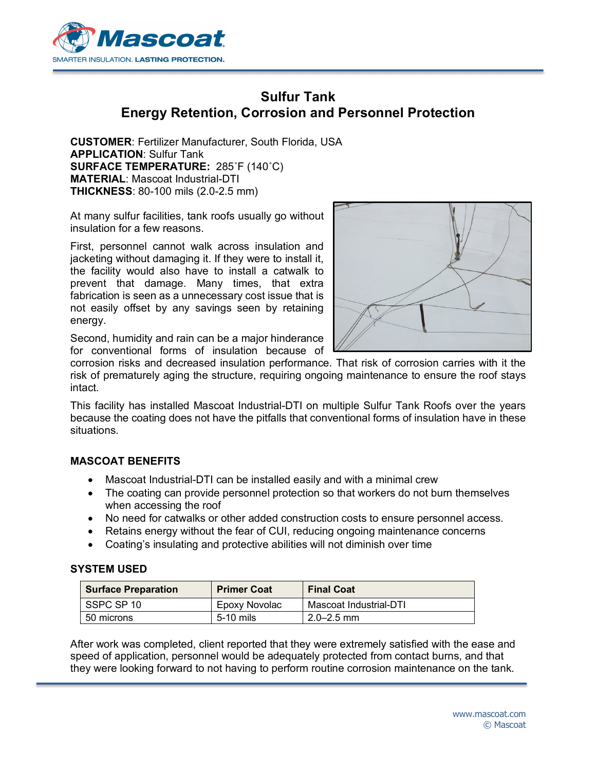

## **Sulfur Tank Energy Retention, Corrosion and Personnel Protection**

**CUSTOMER**: Fertilizer Manufacturer, South Florida, USA **APPLICATION**: Sulfur Tank **SURFACE TEMPERATURE:** 285˚F (140˚C) **MATERIAL**: Mascoat Industrial-DTI **THICKNESS**: 80-100 mils (2.0-2.5 mm)

At many sulfur facilities, tank roofs usually go without insulation for a few reasons.

First, personnel cannot walk across insulation and jacketing without damaging it. If they were to install it, the facility would also have to install a catwalk to prevent that damage. Many times, that extra fabrication is seen as a unnecessary cost issue that is not easily offset by any savings seen by retaining energy.



Second, humidity and rain can be a major hinderance for conventional forms of insulation because of

corrosion risks and decreased insulation performance. That risk of corrosion carries with it the risk of prematurely aging the structure, requiring ongoing maintenance to ensure the roof stays intact.

This facility has installed Mascoat Industrial-DTI on multiple Sulfur Tank Roofs over the years because the coating does not have the pitfalls that conventional forms of insulation have in these situations.

## **MASCOAT BENEFITS**

- Mascoat Industrial-DTI can be installed easily and with a minimal crew
- The coating can provide personnel protection so that workers do not burn themselves when accessing the roof
- No need for catwalks or other added construction costs to ensure personnel access.
- Retains energy without the fear of CUI, reducing ongoing maintenance concerns
- Coating's insulating and protective abilities will not diminish over time

## **SYSTEM USED**

| <b>Surface Preparation</b> | <b>Primer Coat</b> | <b>Final Coat</b>      |
|----------------------------|--------------------|------------------------|
| SSPC SP 10                 | Epoxy Novolac      | Mascoat Industrial-DTI |
| 50 microns                 | $5-10$ mils        | $2.0 - 2.5$ mm         |

After work was completed, client reported that they were extremely satisfied with the ease and speed of application, personnel would be adequately protected from contact burns, and that they were looking forward to not having to perform routine corrosion maintenance on the tank.